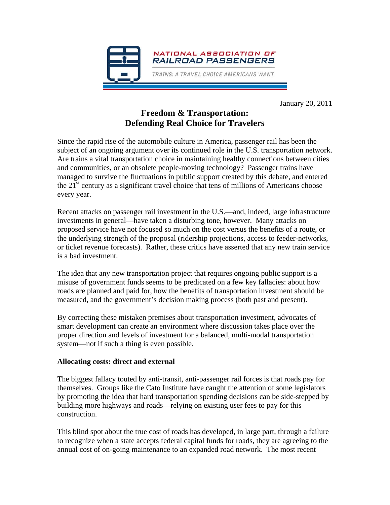

January 20, 2011

## **Freedom & Transportation: Defending Real Choice for Travelers**

Since the rapid rise of the automobile culture in America, passenger rail has been the subject of an ongoing argument over its continued role in the U.S. transportation network. Are trains a vital transportation choice in maintaining healthy connections between cities and communities, or an obsolete people-moving technology? Passenger trains have managed to survive the fluctuations in public support created by this debate, and entered the  $21<sup>st</sup>$  century as a significant travel choice that tens of millions of Americans choose every year.

Recent attacks on passenger rail investment in the U.S.—and, indeed, large infrastructure investments in general—have taken a disturbing tone, however. Many attacks on proposed service have not focused so much on the cost versus the benefits of a route, or the underlying strength of the proposal (ridership projections, access to feeder-networks, or ticket revenue forecasts). Rather, these critics have asserted that any new train service is a bad investment.

The idea that any new transportation project that requires ongoing public support is a misuse of government funds seems to be predicated on a few key fallacies: about how roads are planned and paid for, how the benefits of transportation investment should be measured, and the government's decision making process (both past and present).

By correcting these mistaken premises about transportation investment, advocates of smart development can create an environment where discussion takes place over the proper direction and levels of investment for a balanced, multi-modal transportation system—not if such a thing is even possible.

## **Allocating costs: direct and external**

The biggest fallacy touted by anti-transit, anti-passenger rail forces is that roads pay for themselves. Groups like the Cato Institute have caught the attention of some legislators by promoting the idea that hard transportation spending decisions can be side-stepped by building more highways and roads—relying on existing user fees to pay for this construction.

This blind spot about the true cost of roads has developed, in large part, through a failure to recognize when a state accepts federal capital funds for roads, they are agreeing to the annual cost of on-going maintenance to an expanded road network. The most recent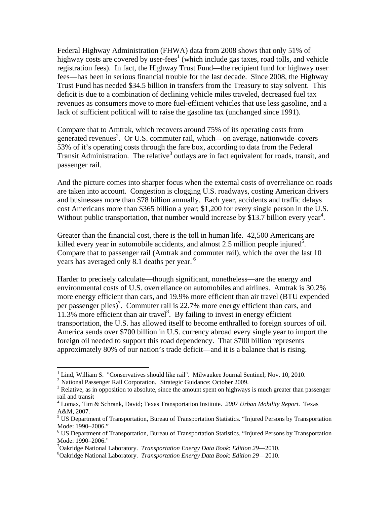Federal Highway Administration (FHWA) data from 2008 shows that only 51% of highway costs are covered by user-fees<sup>1</sup> (which include gas taxes, road tolls, and vehicle registration fees). In fact, the Highway Trust Fund—the recipient fund for highway user fees—has been in serious financial trouble for the last decade. Since 2008, the Highway Trust Fund has needed \$34.5 billion in transfers from the Treasury to stay solvent. This deficit is due to a combination of declining vehicle miles traveled, decreased fuel tax revenues as consumers move to more fuel-efficient vehicles that use less gasoline, and a lack of sufficient political will to raise the gasoline tax (unchanged since 1991).

Compare that to Amtrak, which recovers around 75% of its operating costs from generated revenues<sup>2</sup>. Or U.S. commuter rail, which—on average, nationwide–covers 53% of it's operating costs through the fare box, according to data from the Federal Transit Administration. The relative<sup>3</sup> outlays are in fact equivalent for roads, transit, and passenger rail.

And the picture comes into sharper focus when the external costs of overreliance on roads are taken into account. Congestion is clogging U.S. roadways, costing American drivers and businesses more than \$78 billion annually. Each year, accidents and traffic delays cost Americans more than \$365 billion a year; \$1,200 for every single person in the U.S. Without public transportation, that number would increase by \$13.7 billion every year<sup>4</sup>.

Greater than the financial cost, there is the toll in human life. 42,500 Americans are killed every year in automobile accidents, and almost 2.5 million people injured<sup>5</sup>. Compare that to passenger rail (Amtrak and commuter rail), which the over the last 10 years has averaged only 8.1 deaths per year.<sup>6</sup>

Harder to precisely calculate—though significant, nonetheless—are the energy and environmental costs of U.S. overreliance on automobiles and airlines. Amtrak is 30.2% more energy efficient than cars, and 19.9% more efficient than air travel (BTU expended per passenger piles)<sup>7</sup>. Commuter rail is 22.7% more energy efficient than cars, and  $11.3\%$  more efficient than air travel<sup>8</sup>. By failing to invest in energy efficient transportation, the U.S. has allowed itself to become enthralled to foreign sources of oil. America sends over \$700 billion in U.S. currency abroad every single year to import the foreign oil needed to support this road dependency. That \$700 billion represents approximately 80% of our nation's trade deficit—and it is a balance that is rising.

1

 $1$  Lind, William S. "Conservatives should like rail". Milwaukee Journal Sentinel; Nov. 10, 2010.

 $^2$  National Passenger Rail Corporation. Strategic Guidance: October 2009.

<sup>&</sup>lt;sup>3</sup> Relative, as in opposition to absolute, since the amount spent on highways is much greater than passenger rail and transit

<sup>4</sup> Lomax, Tim & Schrank, David; Texas Transportation Institute. *2007 Urban Mobility Report*. Texas A&M, 2007.

<sup>&</sup>lt;sup>5</sup> US Department of Transportation, Bureau of Transportation Statistics. "Injured Persons by Transportation Mode: 1990–2006."

<sup>&</sup>lt;sup>6</sup> US Department of Transportation, Bureau of Transportation Statistics. "Injured Persons by Transportation Mode: 1990–2006."

<sup>&</sup>lt;sup>7</sup>Oakridge National Laboratory. *Transportation Energy Data Book: Edition 29*—2010.<br><sup>8</sup>Oakridge National Laboratory. *Transportation Energy Data Book: Edition 20*–2010.

Oakridge National Laboratory. *Transportation Energy Data Book*: *Edition 29*—2010.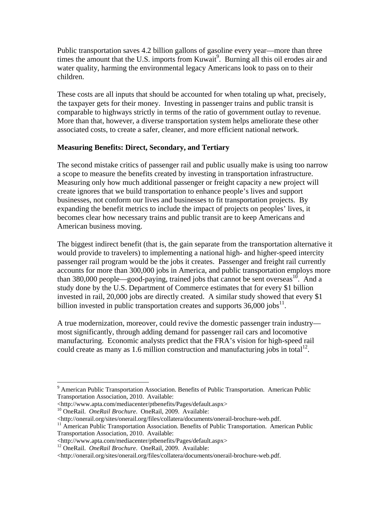Public transportation saves 4.2 billion gallons of gasoline every year—more than three times the amount that the U.S. imports from Kuwait<sup>9</sup>. Burning all this oil erodes air and water quality, harming the environmental legacy Americans look to pass on to their children.

These costs are all inputs that should be accounted for when totaling up what, precisely, the taxpayer gets for their money. Investing in passenger trains and public transit is comparable to highways strictly in terms of the ratio of government outlay to revenue. More than that, however, a diverse transportation system helps ameliorate these other associated costs, to create a safer, cleaner, and more efficient national network.

## **Measuring Benefits: Direct, Secondary, and Tertiary**

The second mistake critics of passenger rail and public usually make is using too narrow a scope to measure the benefits created by investing in transportation infrastructure. Measuring only how much additional passenger or freight capacity a new project will create ignores that we build transportation to enhance people's lives and support businesses, not conform our lives and businesses to fit transportation projects. By expanding the benefit metrics to include the impact of projects on peoples' lives, it becomes clear how necessary trains and public transit are to keep Americans and American business moving.

The biggest indirect benefit (that is, the gain separate from the transportation alternative it would provide to travelers) to implementing a national high- and higher-speed intercity passenger rail program would be the jobs it creates. Passenger and freight rail currently accounts for more than 300,000 jobs in America, and public transportation employs more than 380,000 people—good-paying, trained jobs that cannot be sent overseas<sup>10</sup>. And a study done by the U.S. Department of Commerce estimates that for every \$1 billion invested in rail, 20,000 jobs are directly created. A similar study showed that every \$1 billion invested in public transportation creates and supports  $36,000$  jobs<sup>11</sup>.

A true modernization, moreover, could revive the domestic passenger train industry most significantly, through adding demand for passenger rail cars and locomotive manufacturing. Economic analysts predict that the FRA's vision for high-speed rail could create as many as 1.6 million construction and manufacturing jobs in total  $1^2$ .

 $\overline{a}$ 

<sup>&</sup>lt;sup>9</sup> American Public Transportation Association. Benefits of Public Transportation. American Public Transportation Association, 2010. Available:

<sup>&</sup>lt;http://www.apta.com/mediacenter/ptbenefits/Pages/default.aspx>

<sup>&</sup>lt;sup>10</sup> OneRail. *OneRail Brochure*. OneRail, 2009. Available:<br>
<http://onerail.org/sites/onerail.org/files/collatera/documents/onerail-brochure-web.pdf.

<sup>&</sup>lt;sup>11</sup> American Public Transportation Association. Benefits of Public Transportation. American Public Transportation Association, 2010. Available:

<sup>&</sup>lt;http://www.apta.com/mediacenter/ptbenefits/Pages/default.aspx>

<sup>&</sup>lt;sup>12</sup> OneRail. *OneRail Brochure*. OneRail, 2009. Available:

<sup>&</sup>lt;http://onerail.org/sites/onerail.org/files/collatera/documents/onerail-brochure-web.pdf.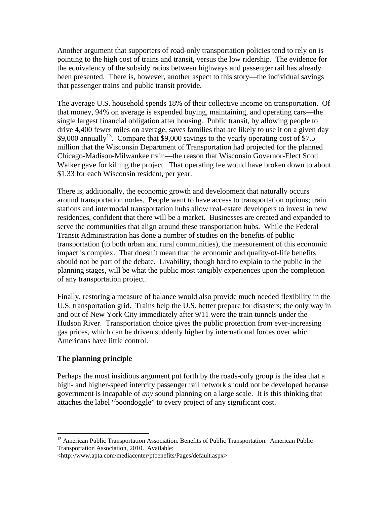Another argument that supporters of road-only transportation policies tend to rely on is pointing to the high cost of trains and transit, versus the low ridership. The evidence for the equivalency of the subsidy ratios between highways and passenger rail has already been presented. There is, however, another aspect to this story—the individual savings that passenger trains and public transit provide.

The average U.S. household spends 18% of their collective income on transportation. Of that money, 94% on average is expended buying, maintaining, and operating cars—the single largest financial obligation after housing. Public transit, by allowing people to drive 4,400 fewer miles on average, saves families that are likely to use it on a given day  $$9,000$  annually<sup>13</sup>. Compare that  $$9,000$  savings to the yearly operating cost of \$7.5 million that the Wisconsin Department of Transportation had projected for the planned Chicago-Madison-Milwaukee train—the reason that Wisconsin Governor-Elect Scott Walker gave for killing the project. That operating fee would have broken down to about \$1.33 for each Wisconsin resident, per year.

There is, additionally, the economic growth and development that naturally occurs around transportation nodes. People want to have access to transportation options; train stations and intermodal transportation hubs allow real-estate developers to invest in new residences, confident that there will be a market. Businesses are created and expanded to serve the communities that align around these transportation hubs. While the Federal Transit Administration has done a number of studies on the benefits of public transportation (to both urban and rural communities), the measurement of this economic impact is complex. That doesn't mean that the economic and quality-of-life benefits should not be part of the debate. Livability, though hard to explain to the public in the planning stages, will be what the public most tangibly experiences upon the completion of any transportation project.

Finally, restoring a measure of balance would also provide much needed flexibility in the U.S. transportation grid. Trains help the U.S. better prepare for disasters; the only way in and out of New York City immediately after 9/11 were the train tunnels under the Hudson River. Transportation choice gives the public protection from ever-increasing gas prices, which can be driven suddenly higher by international forces over which Americans have little control.

## **The planning principle**

 $\overline{a}$ 

Perhaps the most insidious argument put forth by the roads-only group is the idea that a high- and higher-speed intercity passenger rail network should not be developed because government is incapable of *any* sound planning on a large scale. It is this thinking that attaches the label "boondoggle" to every project of any significant cost.

<sup>&</sup>lt;sup>13</sup> American Public Transportation Association. Benefits of Public Transportation. American Public Transportation Association, 2010. Available:

<sup>&</sup>lt;http://www.apta.com/mediacenter/ptbenefits/Pages/default.aspx>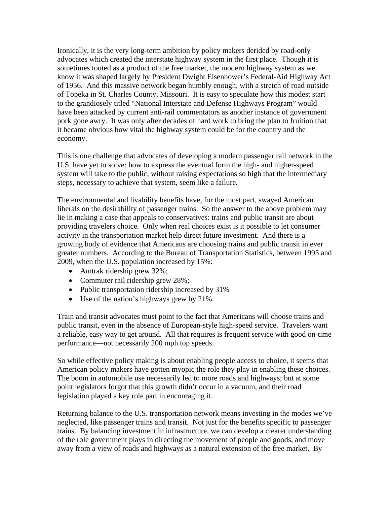Ironically, it is the very long-term ambition by policy makers derided by road-only advocates which created the interstate highway system in the first place. Though it is sometimes touted as a product of the free market, the modern highway system as we know it was shaped largely by President Dwight Eisenhower's Federal-Aid Highway Act of 1956. And this massive network began humbly enough, with a stretch of road outside of Topeka in St. Charles County, Missouri. It is easy to speculate how this modest start to the grandiosely titled "National Interstate and Defense Highways Program" would have been attacked by current anti-rail commentators as another instance of government pork gone awry. It was only after decades of hard work to bring the plan to fruition that it became obvious how vital the highway system could be for the country and the economy.

This is one challenge that advocates of developing a modern passenger rail network in the U.S. have yet to solve: how to express the eventual form the high- and higher-speed system will take to the public, without raising expectations so high that the intermediary steps, necessary to achieve that system, seem like a failure.

The environmental and livability benefits have, for the most part, swayed American liberals on the desirability of passenger trains. So the answer to the above problem may lie in making a case that appeals to conservatives: trains and public transit are about providing travelers choice. Only when real choices exist is it possible to let consumer activity in the transportation market help direct future investment. And there is a growing body of evidence that Americans are choosing trains and public transit in ever greater numbers. According to the Bureau of Transportation Statistics, between 1995 and 2009, when the U.S. population increased by 15%:

- Amtrak ridership grew 32%;
- Commuter rail ridership grew 28%;
- Public transportation ridership increased by 31%
- Use of the nation's highways grew by 21%.

Train and transit advocates must point to the fact that Americans will choose trains and public transit, even in the absence of European-style high-speed service. Travelers want a reliable, easy way to get around. All that requires is frequent service with good on-time performance—not necessarily 200 mph top speeds.

So while effective policy making is about enabling people access to choice, it seems that American policy makers have gotten myopic the role they play in enabling these choices. The boom in automobile use necessarily led to more roads and highways; but at some point legislators forgot that this growth didn't occur in a vacuum, and their road legislation played a key role part in encouraging it.

Returning balance to the U.S. transportation network means investing in the modes we've neglected, like passenger trains and transit. Not just for the benefits specific to passenger trains. By balancing investment in infrastructure, we can develop a clearer understanding of the role government plays in directing the movement of people and goods, and move away from a view of roads and highways as a natural extension of the free market. By